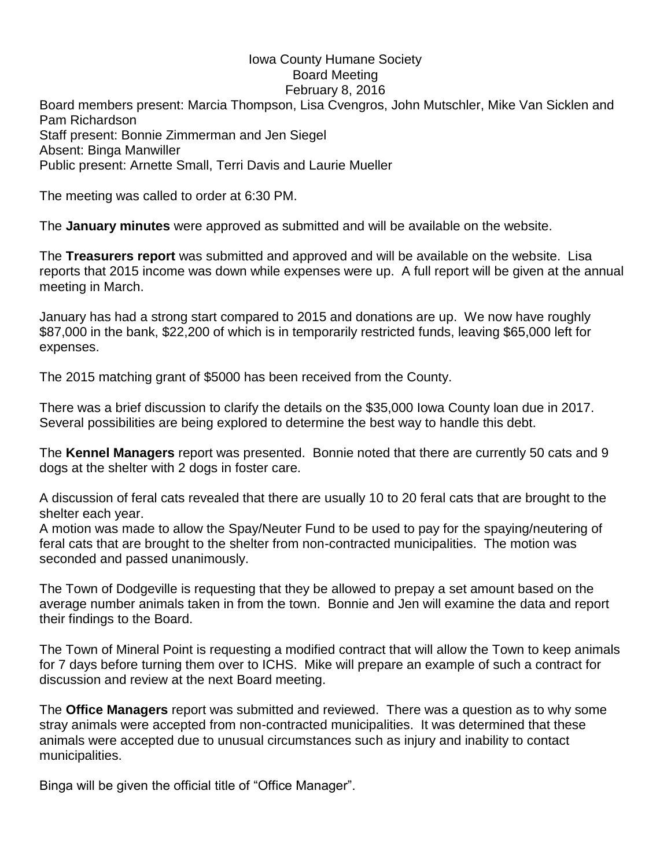## Iowa County Humane Society Board Meeting February 8, 2016

Board members present: Marcia Thompson, Lisa Cvengros, John Mutschler, Mike Van Sicklen and Pam Richardson Staff present: Bonnie Zimmerman and Jen Siegel Absent: Binga Manwiller Public present: Arnette Small, Terri Davis and Laurie Mueller

The meeting was called to order at 6:30 PM.

The **January minutes** were approved as submitted and will be available on the website.

The **Treasurers report** was submitted and approved and will be available on the website. Lisa reports that 2015 income was down while expenses were up. A full report will be given at the annual meeting in March.

January has had a strong start compared to 2015 and donations are up. We now have roughly \$87,000 in the bank, \$22,200 of which is in temporarily restricted funds, leaving \$65,000 left for expenses.

The 2015 matching grant of \$5000 has been received from the County.

There was a brief discussion to clarify the details on the \$35,000 Iowa County loan due in 2017. Several possibilities are being explored to determine the best way to handle this debt.

The **Kennel Managers** report was presented. Bonnie noted that there are currently 50 cats and 9 dogs at the shelter with 2 dogs in foster care.

A discussion of feral cats revealed that there are usually 10 to 20 feral cats that are brought to the shelter each year.

A motion was made to allow the Spay/Neuter Fund to be used to pay for the spaying/neutering of feral cats that are brought to the shelter from non-contracted municipalities. The motion was seconded and passed unanimously.

The Town of Dodgeville is requesting that they be allowed to prepay a set amount based on the average number animals taken in from the town. Bonnie and Jen will examine the data and report their findings to the Board.

The Town of Mineral Point is requesting a modified contract that will allow the Town to keep animals for 7 days before turning them over to ICHS. Mike will prepare an example of such a contract for discussion and review at the next Board meeting.

The **Office Managers** report was submitted and reviewed. There was a question as to why some stray animals were accepted from non-contracted municipalities. It was determined that these animals were accepted due to unusual circumstances such as injury and inability to contact municipalities.

Binga will be given the official title of "Office Manager".